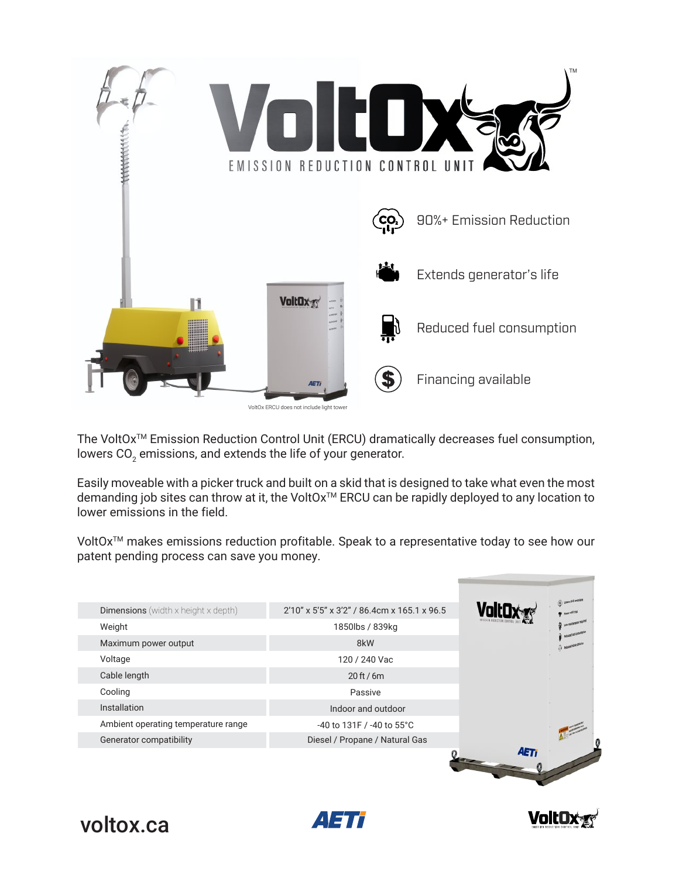

The VoltOx<sup>™</sup> Emission Reduction Control Unit (ERCU) dramatically decreases fuel consumption, lowers CO $_2$  emissions, and extends the life of your generator.

Easily moveable with a picker truck and built on a skid that is designed to take what even the most demanding job sites can throw at it, the VoltOx<sup>™</sup> ERCU can be rapidly deployed to any location to lower emissions in the field.

VoltOx<sup>™</sup> makes emissions reduction profitable. Speak to a representative today to see how our patent pending process can save you money.

| <b>Dimensions</b> (width $x$ height $x$ depth) | 2'10" x 5'5" x 3'2" / 86.4cm x 165.1 x 96.5 |  |
|------------------------------------------------|---------------------------------------------|--|
| Weight                                         | 1850lbs / 839kg                             |  |
| Maximum power output                           | 8kW                                         |  |
| Voltage                                        | 120 / 240 Vac                               |  |
| Cable length                                   | $20$ ft / 6m                                |  |
| Cooling                                        | Passive                                     |  |
| Installation                                   | Indoor and outdoor                          |  |
| Ambient operating temperature range            | $-40$ to 131F / $-40$ to 55 $^{\circ}$ C    |  |
| Generator compatibility                        | Diesel / Propane / Natural Gas              |  |





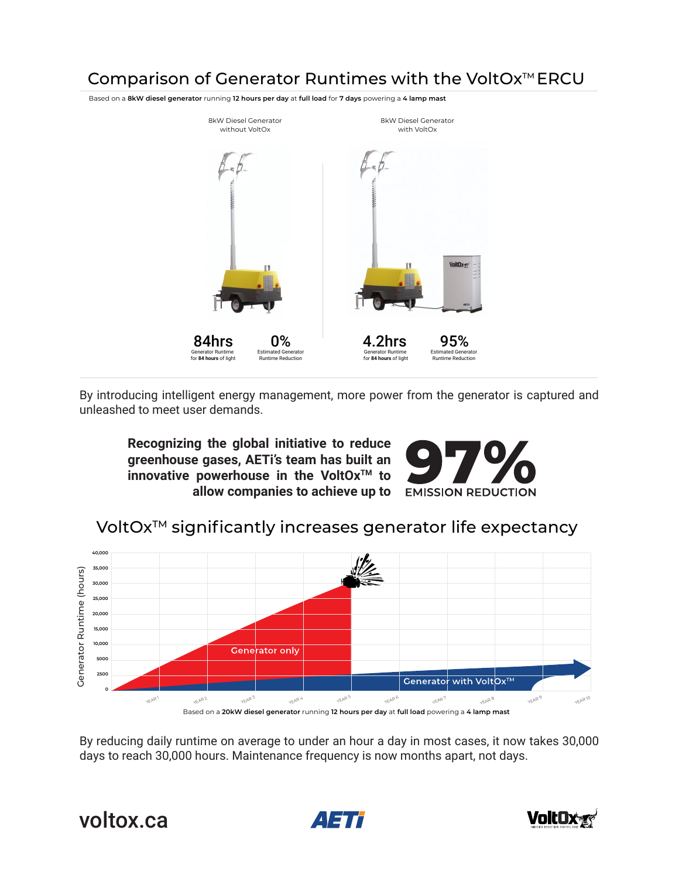## Comparison of Generator Runtimes with the VoltOx<sup>™</sup> ERCU

Based on a **8kW diesel generator** running **12 hours per day** at **full load** for **7 days** powering a **4 lamp mast**



By introducing intelligent energy management, more power from the generator is captured and unleashed to meet user demands.

**Recognizing the global initiative to reduce greenhouse gases, AETi's team has built an innovative powerhouse in the VoltOx™ to allow companies to achieve up to** 



## VoltOx<sup>™</sup> significantly increases generator life expectancy



By reducing daily runtime on average to under an hour a day in most cases, it now takes 30,000 days to reach 30,000 hours. Maintenance frequency is now months apart, not days.